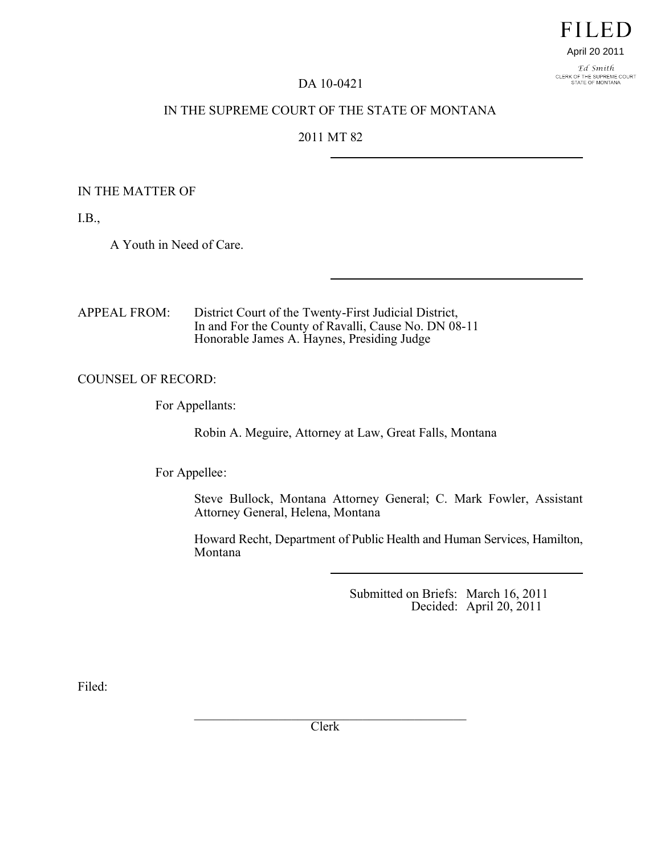# **FILED**

#### April 20 2011

Ed Smith CLERK OF THE SUPREME COURT<br>STATE OF MONTANA

#### DA 10-0421

### IN THE SUPREME COURT OF THE STATE OF MONTANA

## 2011 MT 82

#### IN THE MATTER OF

I.B.,

A Youth in Need of Care.

APPEAL FROM: District Court of the Twenty-First Judicial District, In and For the County of Ravalli, Cause No. DN 08-11 Honorable James A. Haynes, Presiding Judge

#### COUNSEL OF RECORD:

For Appellants:

Robin A. Meguire, Attorney at Law, Great Falls, Montana

For Appellee:

Steve Bullock, Montana Attorney General; C. Mark Fowler, Assistant Attorney General, Helena, Montana

Howard Recht, Department of Public Health and Human Services, Hamilton, Montana

> Submitted on Briefs: March 16, 2011 Decided: April 20, 2011

Filed:

 $\mathcal{L}_\text{max}$  , where  $\mathcal{L}_\text{max}$  and  $\mathcal{L}_\text{max}$  and  $\mathcal{L}_\text{max}$  and  $\mathcal{L}_\text{max}$ Clerk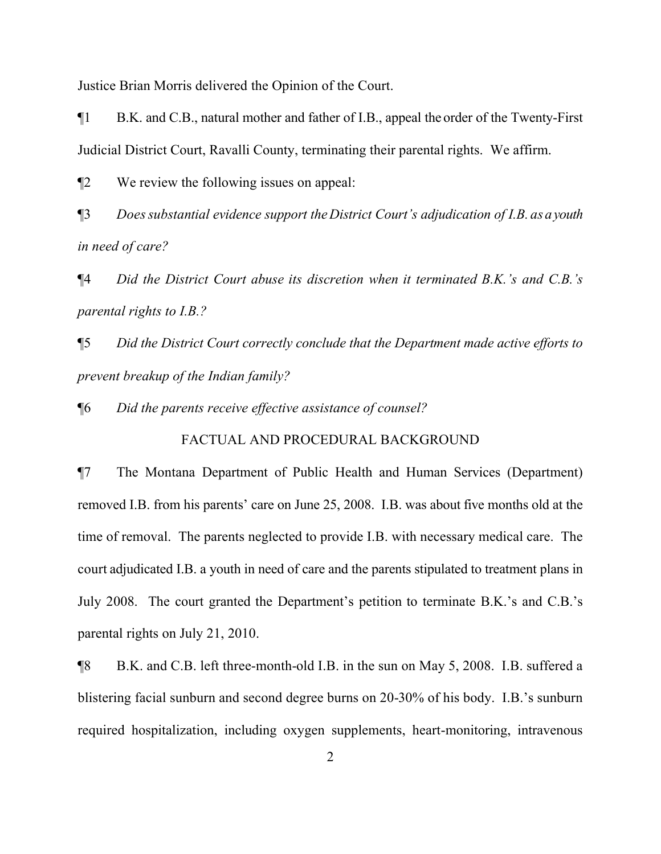Justice Brian Morris delivered the Opinion of the Court.

¶1 B.K. and C.B., natural mother and father of I.B., appeal the order of the Twenty-First Judicial District Court, Ravalli County, terminating their parental rights. We affirm.

¶2 We review the following issues on appeal:

¶3 *Does substantial evidence support the District Court's adjudication of I.B. as a youth in need of care?*

¶4 *Did the District Court abuse its discretion when it terminated B.K.'s and C.B.'s parental rights to I.B.?*

¶5 *Did the District Court correctly conclude that the Department made active efforts to prevent breakup of the Indian family?*

¶6 *Did the parents receive effective assistance of counsel?*

#### FACTUAL AND PROCEDURAL BACKGROUND

¶7 The Montana Department of Public Health and Human Services (Department) removed I.B. from his parents' care on June 25, 2008. I.B. was about five months old at the time of removal. The parents neglected to provide I.B. with necessary medical care. The court adjudicated I.B. a youth in need of care and the parents stipulated to treatment plans in July 2008. The court granted the Department's petition to terminate B.K.'s and C.B.'s parental rights on July 21, 2010.

¶8 B.K. and C.B. left three-month-old I.B. in the sun on May 5, 2008. I.B. suffered a blistering facial sunburn and second degree burns on 20-30% of his body. I.B.'s sunburn required hospitalization, including oxygen supplements, heart-monitoring, intravenous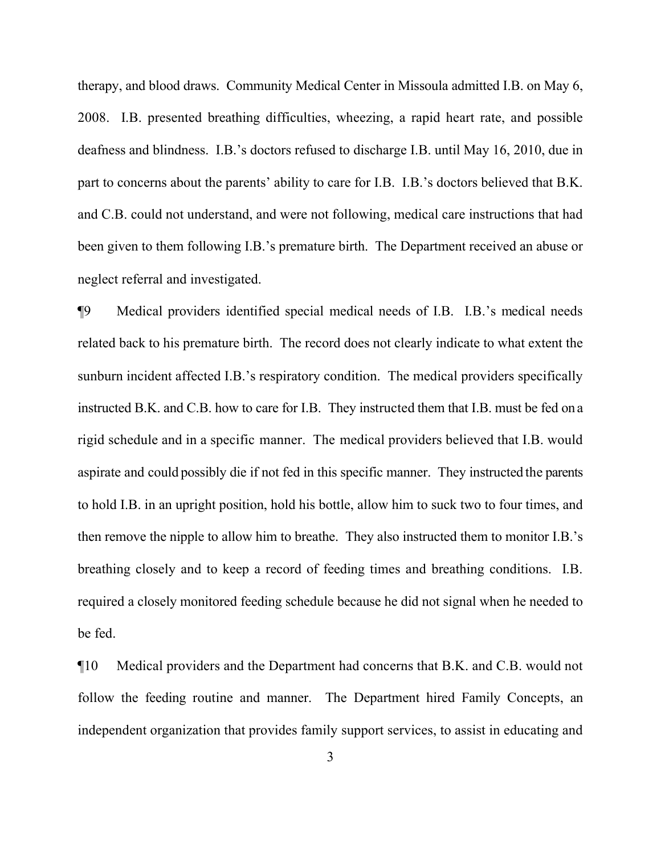therapy, and blood draws. Community Medical Center in Missoula admitted I.B. on May 6, 2008. I.B. presented breathing difficulties, wheezing, a rapid heart rate, and possible deafness and blindness. I.B.'s doctors refused to discharge I.B. until May 16, 2010, due in part to concerns about the parents' ability to care for I.B. I.B.'s doctors believed that B.K. and C.B. could not understand, and were not following, medical care instructions that had been given to them following I.B.'s premature birth. The Department received an abuse or neglect referral and investigated.

¶9 Medical providers identified special medical needs of I.B. I.B.'s medical needs related back to his premature birth. The record does not clearly indicate to what extent the sunburn incident affected I.B.'s respiratory condition. The medical providers specifically instructed B.K. and C.B. how to care for I.B. They instructed them that I.B. must be fed on a rigid schedule and in a specific manner. The medical providers believed that I.B. would aspirate and could possibly die if not fed in this specific manner. They instructed the parents to hold I.B. in an upright position, hold his bottle, allow him to suck two to four times, and then remove the nipple to allow him to breathe. They also instructed them to monitor I.B.'s breathing closely and to keep a record of feeding times and breathing conditions. I.B. required a closely monitored feeding schedule because he did not signal when he needed to be fed.

¶10 Medical providers and the Department had concerns that B.K. and C.B. would not follow the feeding routine and manner. The Department hired Family Concepts, an independent organization that provides family support services, to assist in educating and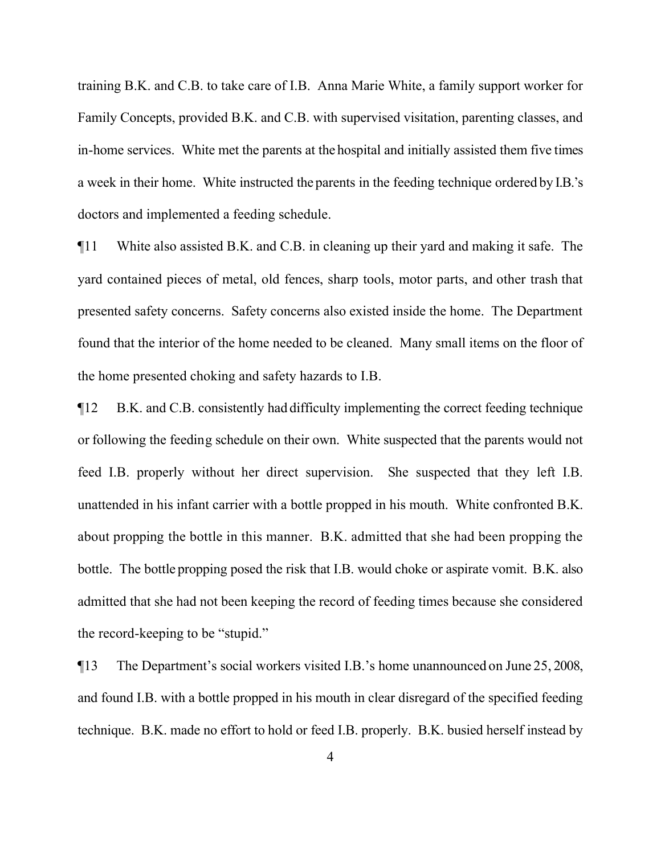training B.K. and C.B. to take care of I.B. Anna Marie White, a family support worker for Family Concepts, provided B.K. and C.B. with supervised visitation, parenting classes, and in-home services. White met the parents at the hospital and initially assisted them five times a week in their home. White instructed the parents in the feeding technique ordered by I.B.'s doctors and implemented a feeding schedule.

¶11 White also assisted B.K. and C.B. in cleaning up their yard and making it safe. The yard contained pieces of metal, old fences, sharp tools, motor parts, and other trash that presented safety concerns. Safety concerns also existed inside the home. The Department found that the interior of the home needed to be cleaned. Many small items on the floor of the home presented choking and safety hazards to I.B.

¶12 B.K. and C.B. consistently had difficulty implementing the correct feeding technique or following the feeding schedule on their own. White suspected that the parents would not feed I.B. properly without her direct supervision. She suspected that they left I.B. unattended in his infant carrier with a bottle propped in his mouth. White confronted B.K. about propping the bottle in this manner. B.K. admitted that she had been propping the bottle. The bottle propping posed the risk that I.B. would choke or aspirate vomit.B.K. also admitted that she had not been keeping the record of feeding times because she considered the record-keeping to be "stupid."

¶13 The Department's social workers visited I.B.'s home unannounced on June 25, 2008, and found I.B. with a bottle propped in his mouth in clear disregard of the specified feeding technique. B.K. made no effort to hold or feed I.B. properly. B.K. busied herself instead by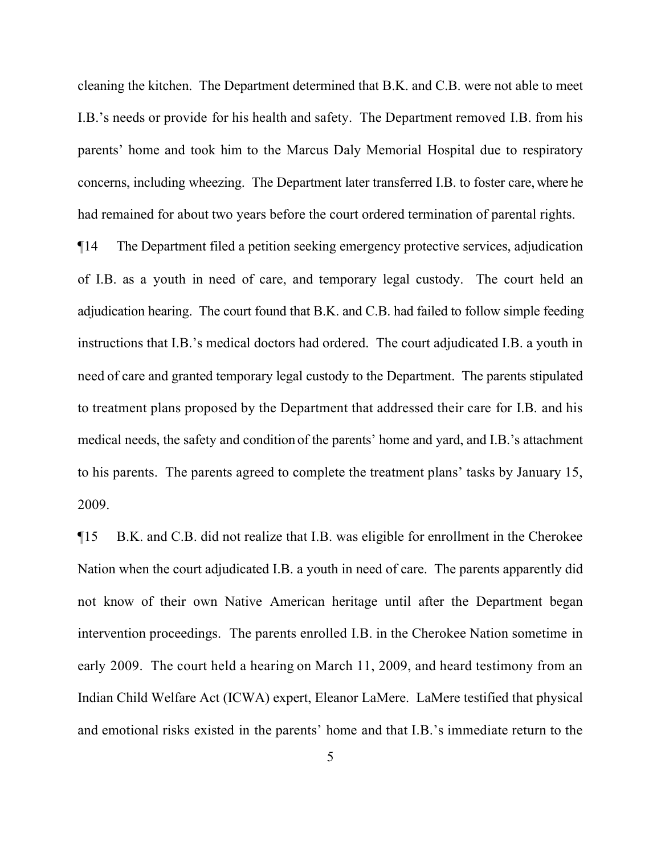cleaning the kitchen. The Department determined that B.K. and C.B. were not able to meet I.B.'s needs or provide for his health and safety. The Department removed I.B. from his parents' home and took him to the Marcus Daly Memorial Hospital due to respiratory concerns, including wheezing. The Department later transferred I.B. to foster care, where he had remained for about two years before the court ordered termination of parental rights.

¶14 The Department filed a petition seeking emergency protective services, adjudication of I.B. as a youth in need of care, and temporary legal custody. The court held an adjudication hearing. The court found that B.K. and C.B. had failed to follow simple feeding instructions that I.B.'s medical doctors had ordered. The court adjudicated I.B. a youth in need of care and granted temporary legal custody to the Department. The parents stipulated to treatment plans proposed by the Department that addressed their care for I.B. and his medical needs, the safety and condition of the parents' home and yard, and I.B.'s attachment to his parents. The parents agreed to complete the treatment plans' tasks by January 15, 2009.

¶15 B.K. and C.B. did not realize that I.B. was eligible for enrollment in the Cherokee Nation when the court adjudicated I.B. a youth in need of care. The parents apparently did not know of their own Native American heritage until after the Department began intervention proceedings. The parents enrolled I.B. in the Cherokee Nation sometime in early 2009. The court held a hearing on March 11, 2009, and heard testimony from an Indian Child Welfare Act (ICWA) expert, Eleanor LaMere. LaMere testified that physical and emotional risks existed in the parents' home and that I.B.'s immediate return to the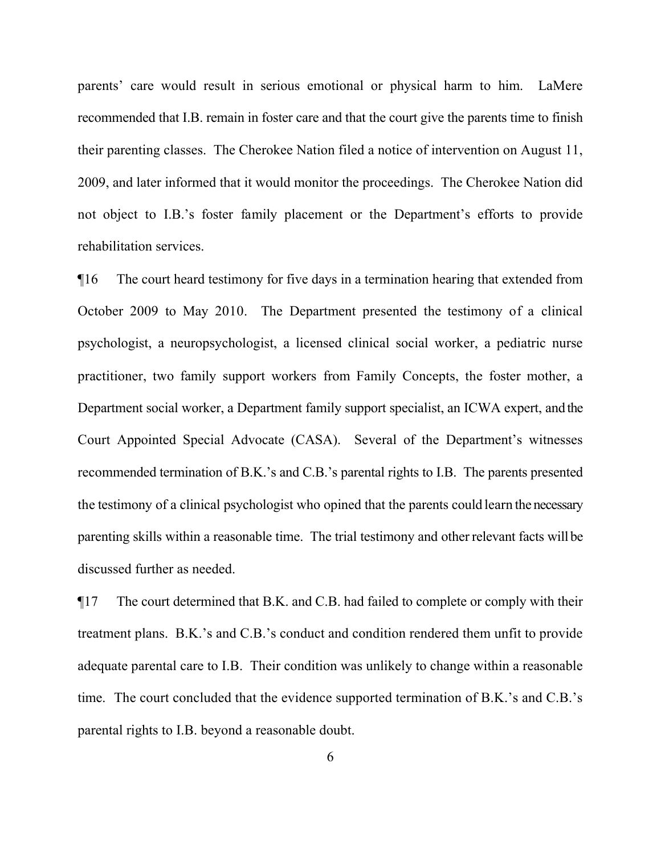parents' care would result in serious emotional or physical harm to him. LaMere recommended that I.B. remain in foster care and that the court give the parents time to finish their parenting classes. The Cherokee Nation filed a notice of intervention on August 11, 2009, and later informed that it would monitor the proceedings. The Cherokee Nation did not object to I.B.'s foster family placement or the Department's efforts to provide rehabilitation services.

¶16 The court heard testimony for five days in a termination hearing that extended from October 2009 to May 2010. The Department presented the testimony of a clinical psychologist, a neuropsychologist, a licensed clinical social worker, a pediatric nurse practitioner, two family support workers from Family Concepts, the foster mother, a Department social worker, a Department family support specialist, an ICWA expert, and the Court Appointed Special Advocate (CASA). Several of the Department's witnesses recommended termination of B.K.'s and C.B.'s parental rights to I.B. The parents presented the testimony of a clinical psychologist who opined that the parents could learn the necessary parenting skills within a reasonable time. The trial testimony and other relevant facts will be discussed further as needed.

¶17 The court determined that B.K. and C.B. had failed to complete or comply with their treatment plans. B.K.'s and C.B.'s conduct and condition rendered them unfit to provide adequate parental care to I.B. Their condition was unlikely to change within a reasonable time. The court concluded that the evidence supported termination of B.K.'s and C.B.'s parental rights to I.B. beyond a reasonable doubt.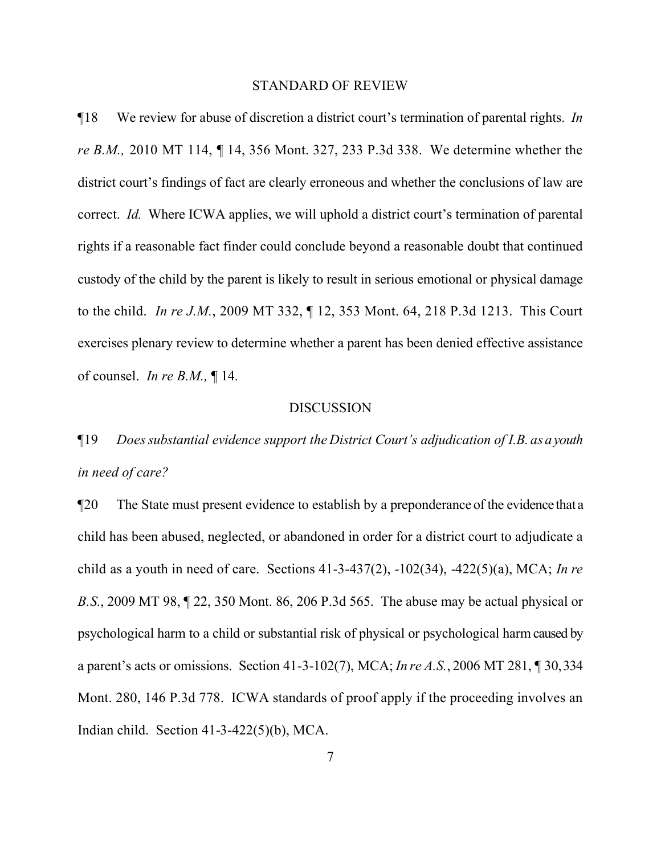#### STANDARD OF REVIEW

¶18 We review for abuse of discretion a district court's termination of parental rights. *In re B.M.,* 2010 MT 114, ¶ 14, 356 Mont. 327, 233 P.3d 338. We determine whether the district court's findings of fact are clearly erroneous and whether the conclusions of law are correct. *Id.* Where ICWA applies, we will uphold a district court's termination of parental rights if a reasonable fact finder could conclude beyond a reasonable doubt that continued custody of the child by the parent is likely to result in serious emotional or physical damage to the child. *In re J.M.*, 2009 MT 332, ¶ 12, 353 Mont. 64, 218 P.3d 1213. This Court exercises plenary review to determine whether a parent has been denied effective assistance of counsel. *In re B.M.,* ¶ 14*.* 

#### DISCUSSION

# ¶19 *Does substantial evidence support the District Court's adjudication of I.B. as a youth in need of care?*

¶20 The State must present evidence to establish by a preponderance of the evidence that a child has been abused, neglected, or abandoned in order for a district court to adjudicate a child as a youth in need of care. Sections 41-3-437(2), -102(34), -422(5)(a), MCA; *In re B.S.*, 2009 MT 98, ¶ 22, 350 Mont. 86, 206 P.3d 565. The abuse may be actual physical or psychological harm to a child or substantial risk of physical or psychological harm caused by a parent's acts or omissions. Section 41-3-102(7), MCA; *In re A.S.*, 2006 MT 281, ¶ 30, 334 Mont. 280, 146 P.3d 778. ICWA standards of proof apply if the proceeding involves an Indian child. Section 41-3-422(5)(b), MCA.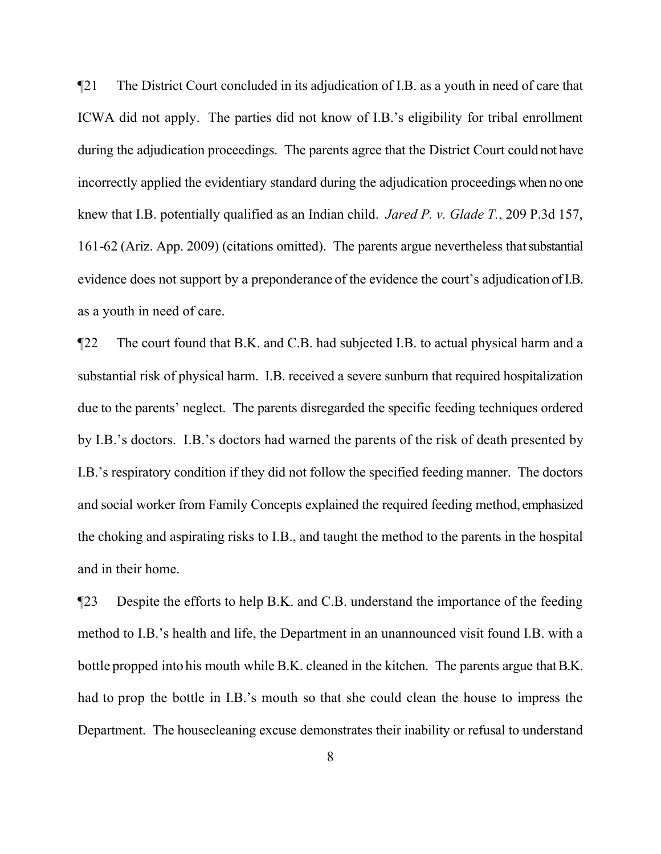¶21 The District Court concluded in its adjudication of I.B. as a youth in need of care that ICWA did not apply. The parties did not know of I.B.'s eligibility for tribal enrollment during the adjudication proceedings. The parents agree that the District Court could not have incorrectly applied the evidentiary standard during the adjudication proceedings when no one knew that I.B. potentially qualified as an Indian child. *Jared P. v. Glade T.*, 209 P.3d 157, 161-62 (Ariz. App. 2009) (citations omitted). The parents argue nevertheless that substantial evidence does not support by a preponderance of the evidence the court's adjudication of I.B. as a youth in need of care.

¶22 The court found that B.K. and C.B. had subjected I.B. to actual physical harm and a substantial risk of physical harm. I.B. received a severe sunburn that required hospitalization due to the parents' neglect. The parents disregarded the specific feeding techniques ordered by I.B.'s doctors. I.B.'s doctors had warned the parents of the risk of death presented by I.B.'s respiratory condition if they did not follow the specified feeding manner. The doctors and social worker from Family Concepts explained the required feeding method, emphasized the choking and aspirating risks to I.B., and taught the method to the parents in the hospital and in their home.

¶23 Despite the efforts to help B.K. and C.B. understand the importance of the feeding method to I.B.'s health and life, the Department in an unannounced visit found I.B. with a bottle propped into his mouth while B.K. cleaned in the kitchen. The parents argue that B.K. had to prop the bottle in I.B.'s mouth so that she could clean the house to impress the Department. The housecleaning excuse demonstrates their inability or refusal to understand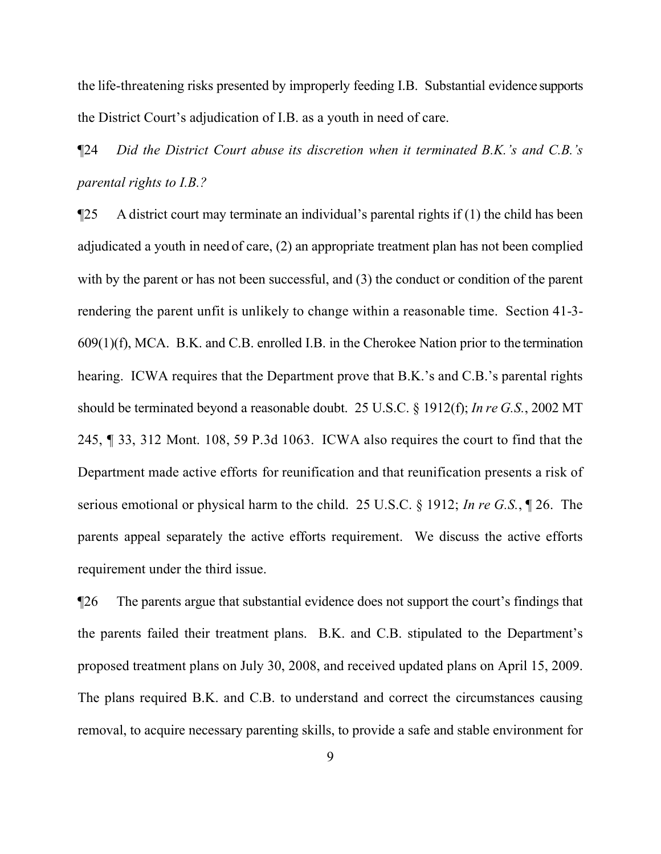the life-threatening risks presented by improperly feeding I.B. Substantial evidence supports the District Court's adjudication of I.B. as a youth in need of care.

¶24 *Did the District Court abuse its discretion when it terminated B.K.'s and C.B.'s parental rights to I.B.?*

¶25 A district court may terminate an individual's parental rights if (1) the child has been adjudicated a youth in need of care, (2) an appropriate treatment plan has not been complied with by the parent or has not been successful, and (3) the conduct or condition of the parent rendering the parent unfit is unlikely to change within a reasonable time. Section 41-3- 609(1)(f), MCA. B.K. and C.B. enrolled I.B. in the Cherokee Nation prior to the termination hearing. ICWA requires that the Department prove that B.K.'s and C.B.'s parental rights should be terminated beyond a reasonable doubt. 25 U.S.C. § 1912(f); *In re G.S.*, 2002 MT 245, ¶ 33, 312 Mont. 108, 59 P.3d 1063. ICWA also requires the court to find that the Department made active efforts for reunification and that reunification presents a risk of serious emotional or physical harm to the child. 25 U.S.C. § 1912; *In re G.S.*, ¶ 26. The parents appeal separately the active efforts requirement. We discuss the active efforts requirement under the third issue.

¶26 The parents argue that substantial evidence does not support the court's findings that the parents failed their treatment plans. B.K. and C.B. stipulated to the Department's proposed treatment plans on July 30, 2008, and received updated plans on April 15, 2009. The plans required B.K. and C.B. to understand and correct the circumstances causing removal, to acquire necessary parenting skills, to provide a safe and stable environment for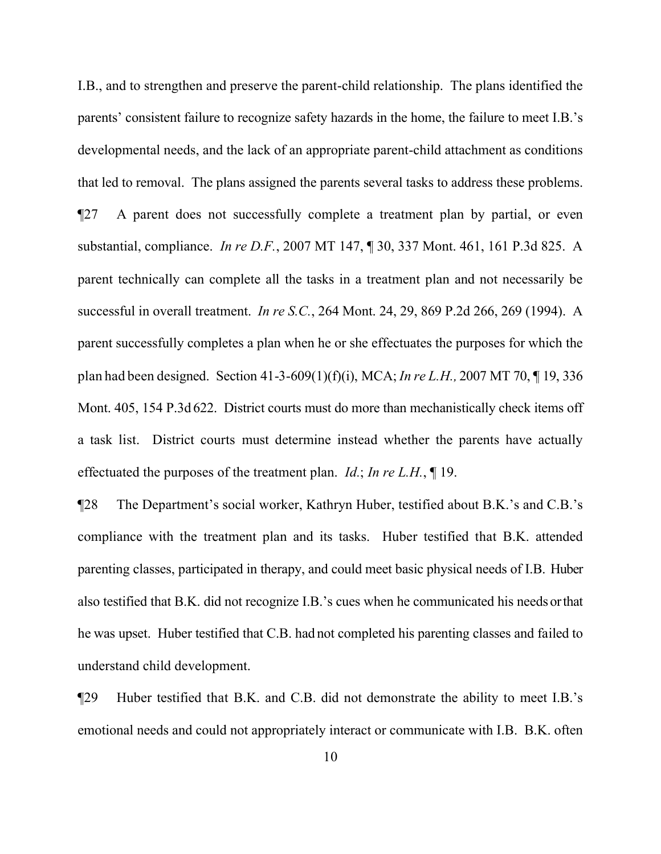I.B., and to strengthen and preserve the parent-child relationship. The plans identified the parents' consistent failure to recognize safety hazards in the home, the failure to meet I.B.'s developmental needs, and the lack of an appropriate parent-child attachment as conditions that led to removal. The plans assigned the parents several tasks to address these problems. ¶27 A parent does not successfully complete a treatment plan by partial, or even substantial, compliance. *In re D.F.*, 2007 MT 147, ¶ 30, 337 Mont. 461, 161 P.3d 825. A parent technically can complete all the tasks in a treatment plan and not necessarily be successful in overall treatment. *In re S.C.*, 264 Mont. 24, 29, 869 P.2d 266, 269 (1994). A parent successfully completes a plan when he or she effectuates the purposes for which the plan had been designed. Section 41-3-609(1)(f)(i), MCA; *In re L.H.,* 2007 MT 70, ¶ 19, 336 Mont. 405, 154 P.3d 622. District courts must do more than mechanistically check items off a task list. District courts must determine instead whether the parents have actually effectuated the purposes of the treatment plan. *Id.*; *In re L.H.*, ¶ 19.

¶28 The Department's social worker, Kathryn Huber, testified about B.K.'s and C.B.'s compliance with the treatment plan and its tasks. Huber testified that B.K. attended parenting classes, participated in therapy, and could meet basic physical needs of I.B. Huber also testified that B.K. did not recognize I.B.'s cues when he communicated his needs or that he was upset. Huber testified that C.B. had not completed his parenting classes and failed to understand child development.

¶29 Huber testified that B.K. and C.B. did not demonstrate the ability to meet I.B.'s emotional needs and could not appropriately interact or communicate with I.B. B.K. often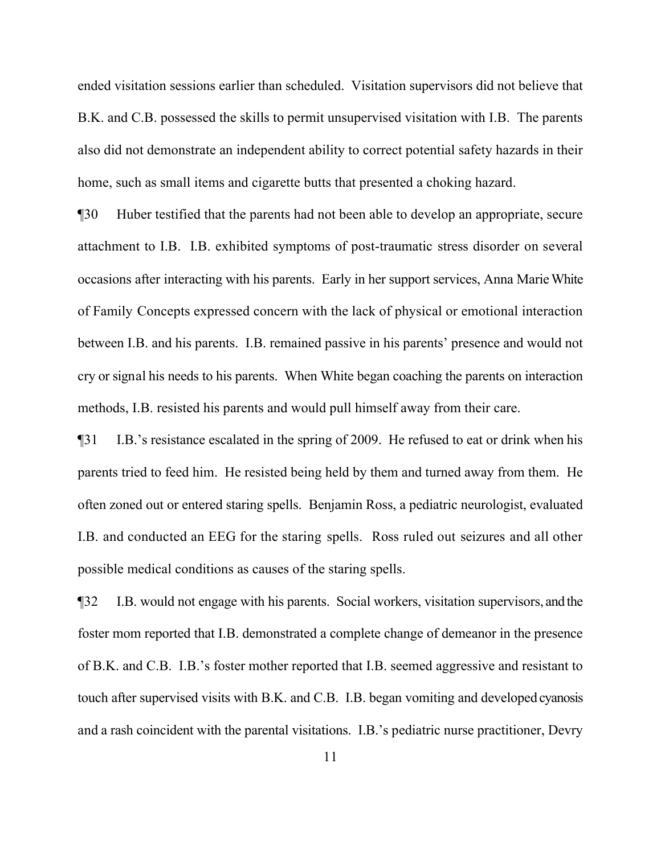ended visitation sessions earlier than scheduled. Visitation supervisors did not believe that B.K. and C.B. possessed the skills to permit unsupervised visitation with I.B. The parents also did not demonstrate an independent ability to correct potential safety hazards in their home, such as small items and cigarette butts that presented a choking hazard.

¶30 Huber testified that the parents had not been able to develop an appropriate, secure attachment to I.B. I.B. exhibited symptoms of post-traumatic stress disorder on several occasions after interacting with his parents. Early in her support services, Anna Marie White of Family Concepts expressed concern with the lack of physical or emotional interaction between I.B. and his parents. I.B. remained passive in his parents' presence and would not cry or signal his needs to his parents. When White began coaching the parents on interaction methods, I.B. resisted his parents and would pull himself away from their care.

¶31 I.B.'s resistance escalated in the spring of 2009. He refused to eat or drink when his parents tried to feed him. He resisted being held by them and turned away from them. He often zoned out or entered staring spells. Benjamin Ross, a pediatric neurologist, evaluated I.B. and conducted an EEG for the staring spells. Ross ruled out seizures and all other possible medical conditions as causes of the staring spells.

¶32 I.B. would not engage with his parents. Social workers, visitation supervisors, and the foster mom reported that I.B. demonstrated a complete change of demeanor in the presence of B.K. and C.B. I.B.'s foster mother reported that I.B. seemed aggressive and resistant to touch after supervised visits with B.K. and C.B. I.B. began vomiting and developed cyanosis and a rash coincident with the parental visitations. I.B.'s pediatric nurse practitioner, Devry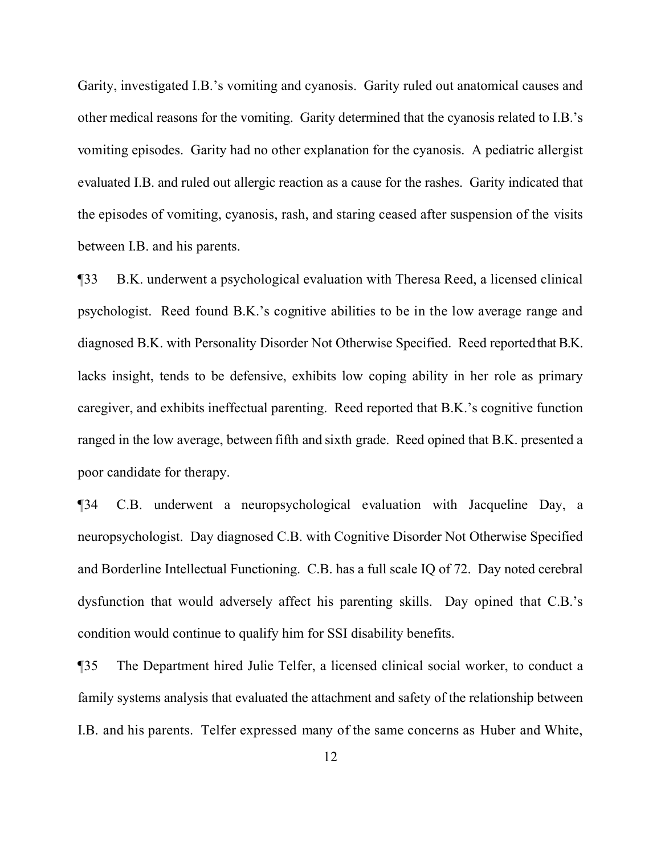Garity, investigated I.B.'s vomiting and cyanosis. Garity ruled out anatomical causes and other medical reasons for the vomiting. Garity determined that the cyanosis related to I.B.'s vomiting episodes. Garity had no other explanation for the cyanosis. A pediatric allergist evaluated I.B. and ruled out allergic reaction as a cause for the rashes. Garity indicated that the episodes of vomiting, cyanosis, rash, and staring ceased after suspension of the visits between I.B. and his parents.

¶33 B.K. underwent a psychological evaluation with Theresa Reed, a licensed clinical psychologist. Reed found B.K.'s cognitive abilities to be in the low average range and diagnosed B.K. with Personality Disorder Not Otherwise Specified. Reed reported that B.K. lacks insight, tends to be defensive, exhibits low coping ability in her role as primary caregiver, and exhibits ineffectual parenting. Reed reported that B.K.'s cognitive function ranged in the low average, between fifth and sixth grade. Reed opined that B.K. presented a poor candidate for therapy.

¶34 C.B. underwent a neuropsychological evaluation with Jacqueline Day, a neuropsychologist. Day diagnosed C.B. with Cognitive Disorder Not Otherwise Specified and Borderline Intellectual Functioning. C.B. has a full scale IQ of 72. Day noted cerebral dysfunction that would adversely affect his parenting skills. Day opined that C.B.'s condition would continue to qualify him for SSI disability benefits.

¶35 The Department hired Julie Telfer, a licensed clinical social worker, to conduct a family systems analysis that evaluated the attachment and safety of the relationship between I.B. and his parents. Telfer expressed many of the same concerns as Huber and White,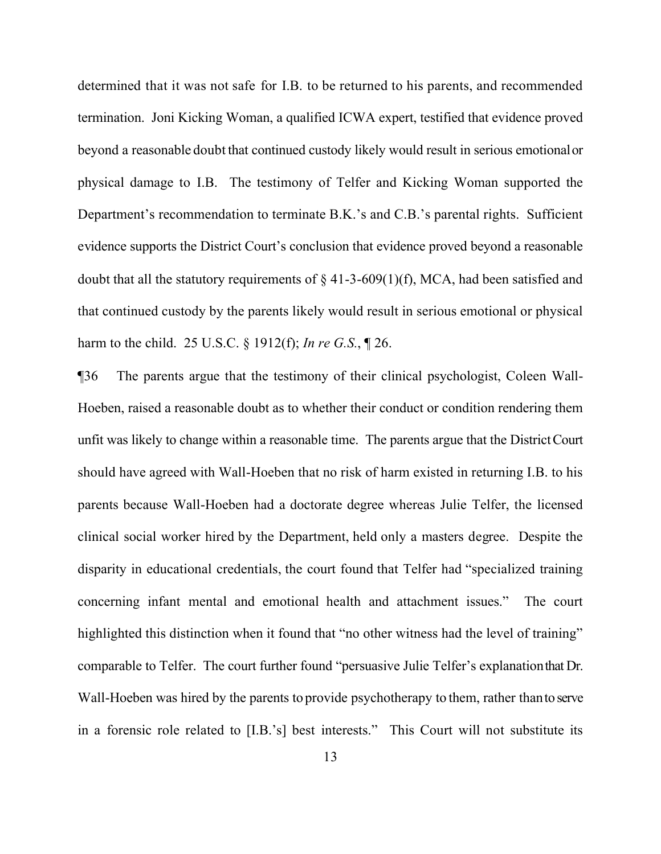determined that it was not safe for I.B. to be returned to his parents, and recommended termination. Joni Kicking Woman, a qualified ICWA expert, testified that evidence proved beyond a reasonable doubt that continued custody likely would result in serious emotional or physical damage to I.B. The testimony of Telfer and Kicking Woman supported the Department's recommendation to terminate B.K.'s and C.B.'s parental rights. Sufficient evidence supports the District Court's conclusion that evidence proved beyond a reasonable doubt that all the statutory requirements of  $\S$  41-3-609(1)(f), MCA, had been satisfied and that continued custody by the parents likely would result in serious emotional or physical harm to the child. 25 U.S.C. § 1912(f); *In re G.S.*, ¶ 26.

¶36 The parents argue that the testimony of their clinical psychologist, Coleen Wall-Hoeben, raised a reasonable doubt as to whether their conduct or condition rendering them unfit was likely to change within a reasonable time. The parents argue that the District Court should have agreed with Wall-Hoeben that no risk of harm existed in returning I.B. to his parents because Wall-Hoeben had a doctorate degree whereas Julie Telfer, the licensed clinical social worker hired by the Department, held only a masters degree. Despite the disparity in educational credentials, the court found that Telfer had "specialized training concerning infant mental and emotional health and attachment issues." The court highlighted this distinction when it found that "no other witness had the level of training" comparable to Telfer. The court further found "persuasive Julie Telfer's explanation that Dr. Wall-Hoeben was hired by the parents to provide psychotherapy to them, rather than to serve in a forensic role related to [I.B.'s] best interests." This Court will not substitute its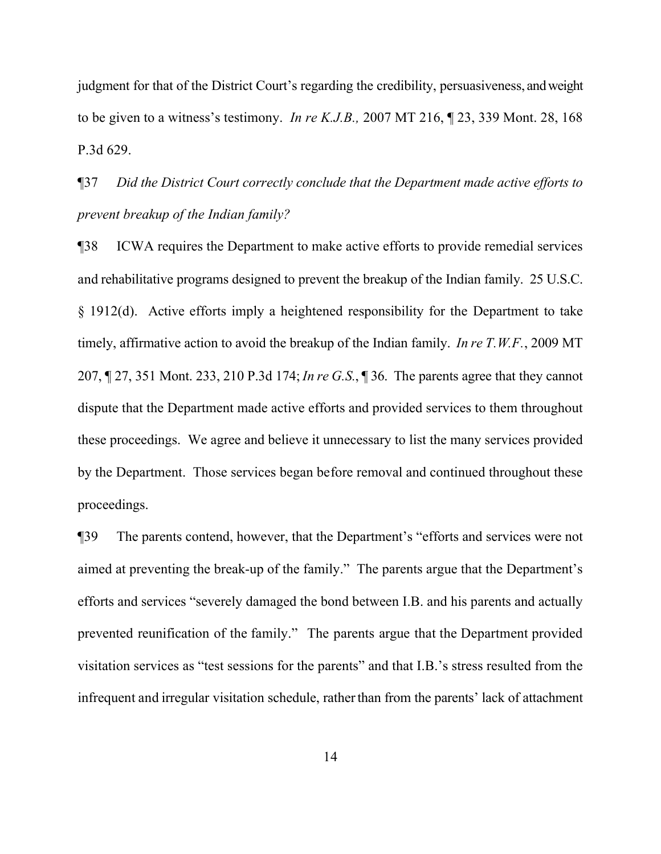judgment for that of the District Court's regarding the credibility, persuasiveness, and weight to be given to a witness's testimony. *In re K.J.B.,* 2007 MT 216, ¶ 23, 339 Mont. 28, 168 P.3d 629.

¶37 *Did the District Court correctly conclude that the Department made active efforts to prevent breakup of the Indian family?*

¶38 ICWA requires the Department to make active efforts to provide remedial services and rehabilitative programs designed to prevent the breakup of the Indian family. 25 U.S.C. § 1912(d). Active efforts imply a heightened responsibility for the Department to take timely, affirmative action to avoid the breakup of the Indian family. *In re T.W.F.*, 2009 MT 207, ¶ 27, 351 Mont. 233, 210 P.3d 174; *In re G.S.*, ¶ 36. The parents agree that they cannot dispute that the Department made active efforts and provided services to them throughout these proceedings. We agree and believe it unnecessary to list the many services provided by the Department. Those services began before removal and continued throughout these proceedings.

¶39 The parents contend, however, that the Department's "efforts and services were not aimed at preventing the break-up of the family." The parents argue that the Department's efforts and services "severely damaged the bond between I.B. and his parents and actually prevented reunification of the family." The parents argue that the Department provided visitation services as "test sessions for the parents" and that I.B.'s stress resulted from the infrequent and irregular visitation schedule, rather than from the parents' lack of attachment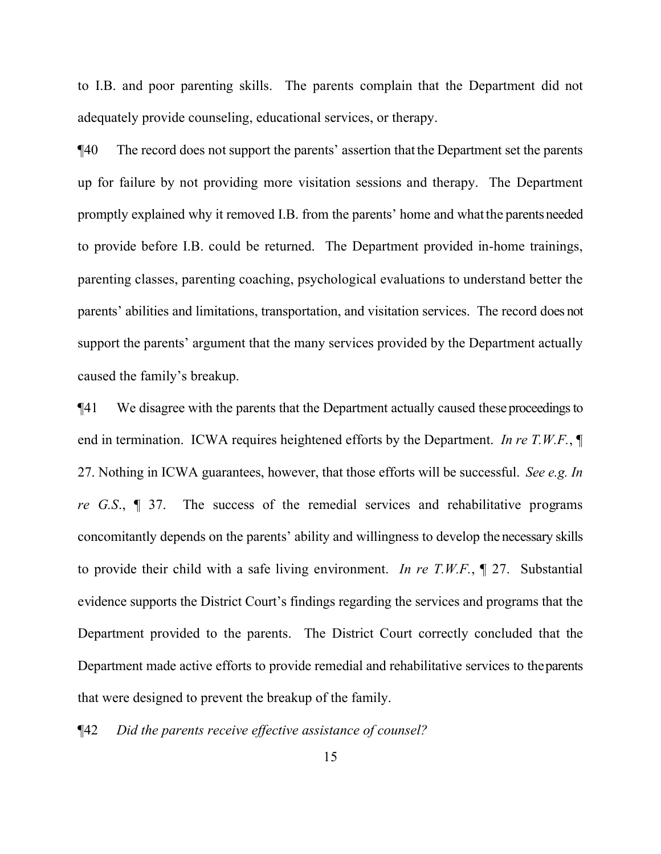to I.B. and poor parenting skills. The parents complain that the Department did not adequately provide counseling, educational services, or therapy.

¶40 The record does not support the parents' assertion that the Department set the parents up for failure by not providing more visitation sessions and therapy. The Department promptly explained why it removed I.B. from the parents' home and what the parents needed to provide before I.B. could be returned. The Department provided in-home trainings, parenting classes, parenting coaching, psychological evaluations to understand better the parents' abilities and limitations, transportation, and visitation services. The record does not support the parents' argument that the many services provided by the Department actually caused the family's breakup.

¶41 We disagree with the parents that the Department actually caused these proceedings to end in termination. ICWA requires heightened efforts by the Department. *In re T.W.F.*, ¶ 27. Nothing in ICWA guarantees, however, that those efforts will be successful. *See e.g. In re G.S*., ¶ 37. The success of the remedial services and rehabilitative programs concomitantly depends on the parents' ability and willingness to develop the necessary skills to provide their child with a safe living environment. *In re T.W.F.*, ¶ 27. Substantial evidence supports the District Court's findings regarding the services and programs that the Department provided to the parents. The District Court correctly concluded that the Department made active efforts to provide remedial and rehabilitative services to the parents that were designed to prevent the breakup of the family.

¶42 *Did the parents receive effective assistance of counsel?*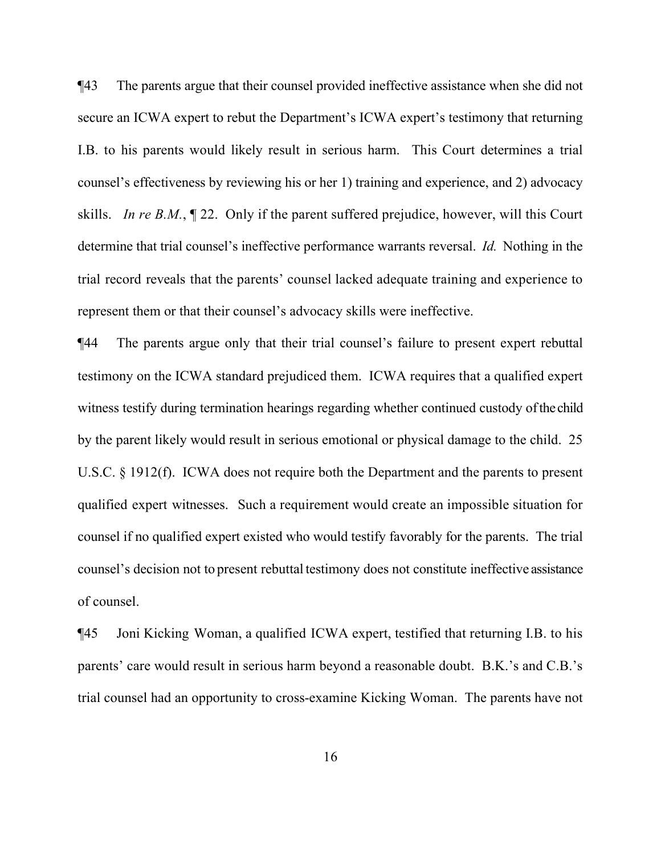¶43 The parents argue that their counsel provided ineffective assistance when she did not secure an ICWA expert to rebut the Department's ICWA expert's testimony that returning I.B. to his parents would likely result in serious harm. This Court determines a trial counsel's effectiveness by reviewing his or her 1) training and experience, and 2) advocacy skills. *In re B.M.*, ¶ 22. Only if the parent suffered prejudice, however, will this Court determine that trial counsel's ineffective performance warrants reversal. *Id.* Nothing in the trial record reveals that the parents' counsel lacked adequate training and experience to represent them or that their counsel's advocacy skills were ineffective.

¶44 The parents argue only that their trial counsel's failure to present expert rebuttal testimony on the ICWA standard prejudiced them. ICWA requires that a qualified expert witness testify during termination hearings regarding whether continued custody of the child by the parent likely would result in serious emotional or physical damage to the child. 25 U.S.C. § 1912(f). ICWA does not require both the Department and the parents to present qualified expert witnesses. Such a requirement would create an impossible situation for counsel if no qualified expert existed who would testify favorably for the parents. The trial counsel's decision not to present rebuttal testimony does not constitute ineffective assistance of counsel.

¶45 Joni Kicking Woman, a qualified ICWA expert, testified that returning I.B. to his parents' care would result in serious harm beyond a reasonable doubt. B.K.'s and C.B.'s trial counsel had an opportunity to cross-examine Kicking Woman. The parents have not